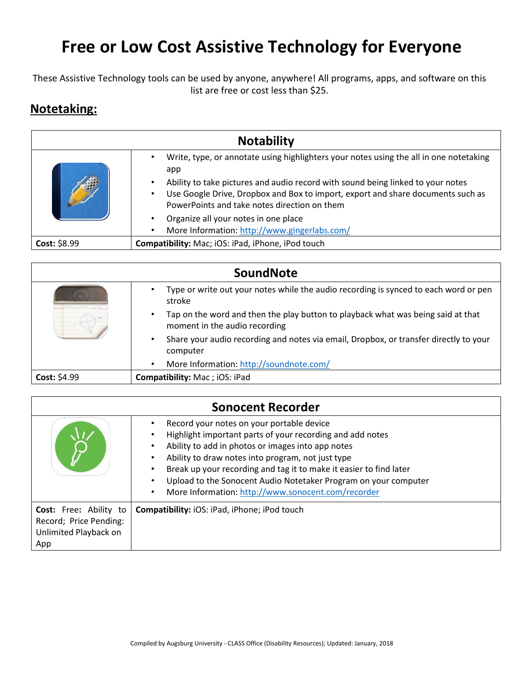## **Free or Low Cost Assistive Technology for Everyone**

These Assistive Technology tools can be used by anyone, anywhere! All programs, apps, and software on this list are free or cost less than \$25.

## **Notetaking:**

|              | <b>Notability</b>                                                                                                                                                                                                                                                                                                                             |
|--------------|-----------------------------------------------------------------------------------------------------------------------------------------------------------------------------------------------------------------------------------------------------------------------------------------------------------------------------------------------|
|              | Write, type, or annotate using highlighters your notes using the all in one notetaking<br>$\bullet$<br>app<br>Ability to take pictures and audio record with sound being linked to your notes<br>Use Google Drive, Dropbox and Box to import, export and share documents such as<br>$\bullet$<br>PowerPoints and take notes direction on them |
|              | Organize all your notes in one place<br>$\bullet$<br>More Information: http://www.gingerlabs.com/<br>$\bullet$                                                                                                                                                                                                                                |
| Cost: \$8.99 | Compatibility: Mac; iOS: iPad, iPhone, iPod touch                                                                                                                                                                                                                                                                                             |

| SoundNote    |                                                                                                                                |
|--------------|--------------------------------------------------------------------------------------------------------------------------------|
|              | Type or write out your notes while the audio recording is synced to each word or pen<br>stroke                                 |
|              | Tap on the word and then the play button to playback what was being said at that<br>$\bullet$<br>moment in the audio recording |
|              | Share your audio recording and notes via email, Dropbox, or transfer directly to your<br>٠<br>computer                         |
|              | More Information: http://soundnote.com/<br>$\bullet$                                                                           |
| Cost: \$4.99 | <b>Compatibility: Mac; iOS: iPad</b>                                                                                           |

| <b>Sonocent Recorder</b>                                                                |                                                                                                                                                                                                                                                                                                                                                                                                                                                                     |
|-----------------------------------------------------------------------------------------|---------------------------------------------------------------------------------------------------------------------------------------------------------------------------------------------------------------------------------------------------------------------------------------------------------------------------------------------------------------------------------------------------------------------------------------------------------------------|
|                                                                                         | Record your notes on your portable device<br>Highlight important parts of your recording and add notes<br>$\bullet$<br>Ability to add in photos or images into app notes<br>$\bullet$<br>Ability to draw notes into program, not just type<br>Break up your recording and tag it to make it easier to find later<br>Upload to the Sonocent Audio Notetaker Program on your computer<br>$\bullet$<br>More Information: http://www.sonocent.com/recorder<br>$\bullet$ |
| <b>Cost:</b> Free: Ability to<br>Record; Price Pending:<br>Unlimited Playback on<br>App | <b>Compatibility:</b> iOS: iPad, iPhone; iPod touch                                                                                                                                                                                                                                                                                                                                                                                                                 |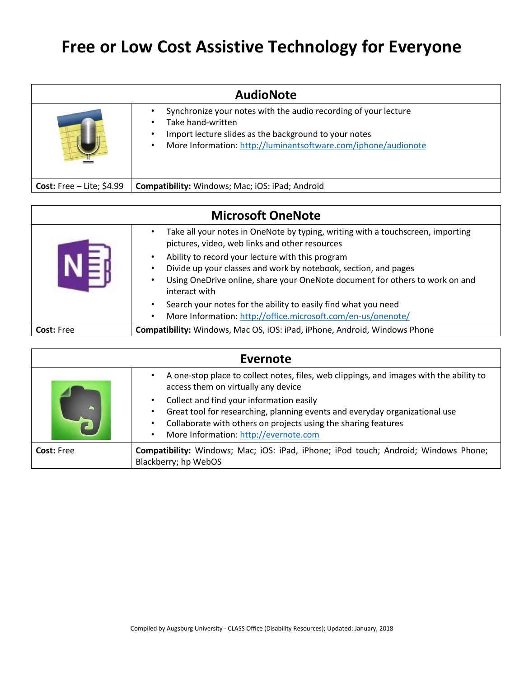## **Free or Low Cost Assistive Technology for Everyone**

| <b>AudioNote</b>                   |                                                                                                                                                                                                                                        |
|------------------------------------|----------------------------------------------------------------------------------------------------------------------------------------------------------------------------------------------------------------------------------------|
|                                    | Synchronize your notes with the audio recording of your lecture<br>Take hand-written<br>$\bullet$<br>Import lecture slides as the background to your notes<br>٠<br>More Information: http://luminantsoftware.com/iphone/audionote<br>٠ |
| <b>Cost:</b> Free $-$ Lite; \$4.99 | Compatibility: Windows; Mac; iOS: iPad; Android                                                                                                                                                                                        |

| <b>Microsoft OneNote</b> |                                                                                                                                                                                                                      |
|--------------------------|----------------------------------------------------------------------------------------------------------------------------------------------------------------------------------------------------------------------|
|                          | Take all your notes in OneNote by typing, writing with a touchscreen, importing<br>pictures, video, web links and other resources                                                                                    |
|                          | Ability to record your lecture with this program<br>Divide up your classes and work by notebook, section, and pages<br>Using OneDrive online, share your OneNote document for others to work on and<br>interact with |
|                          | Search your notes for the ability to easily find what you need<br>More Information: http://office.microsoft.com/en-us/onenote/                                                                                       |
| <b>Cost: Free</b>        | Compatibility: Windows, Mac OS, iOS: iPad, iPhone, Android, Windows Phone                                                                                                                                            |

| Evernote          |                                                                                                                                                                                                                                                 |
|-------------------|-------------------------------------------------------------------------------------------------------------------------------------------------------------------------------------------------------------------------------------------------|
|                   | A one-stop place to collect notes, files, web clippings, and images with the ability to<br>access them on virtually any device                                                                                                                  |
|                   | Collect and find your information easily<br>Great tool for researching, planning events and everyday organizational use<br>Collaborate with others on projects using the sharing features<br>More Information: http://evernote.com<br>$\bullet$ |
| <b>Cost: Free</b> | Compatibility: Windows; Mac; iOS: iPad, iPhone; iPod touch; Android; Windows Phone;<br>Blackberry; hp WebOS                                                                                                                                     |